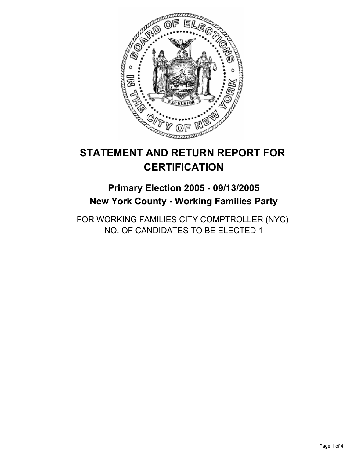

# **STATEMENT AND RETURN REPORT FOR CERTIFICATION**

## **Primary Election 2005 - 09/13/2005 New York County - Working Families Party**

FOR WORKING FAMILIES CITY COMPTROLLER (NYC) NO. OF CANDIDATES TO BE ELECTED 1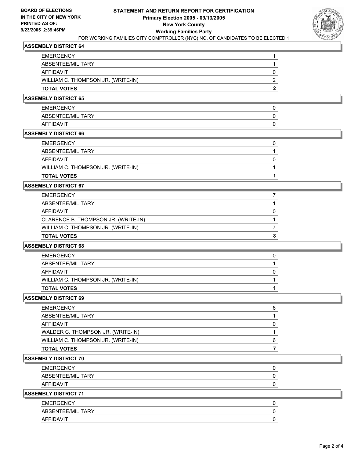

## **ASSEMBLY DISTRICT 64**

| <b>EMERGENCY</b>                   |  |
|------------------------------------|--|
| ABSENTEE/MILITARY                  |  |
| AFFIDAVIT                          |  |
| WILLIAM C. THOMPSON JR. (WRITE-IN) |  |
| <b>TOTAL VOTES</b>                 |  |

#### **ASSEMBLY DISTRICT 65**

| <b>EMERGENCY</b>  |  |
|-------------------|--|
| ABSENTEE/MILITARY |  |
| AFFIDAVIT         |  |

#### **ASSEMBLY DISTRICT 66**

| TOTAL VOTES                        |  |
|------------------------------------|--|
| WILLIAM C. THOMPSON JR. (WRITE-IN) |  |
| AFFIDAVIT                          |  |
| ABSENTEE/MILITARY                  |  |
| EMERGENCY                          |  |

## **ASSEMBLY DISTRICT 67**

| <b>EMERGENCY</b>                    |  |
|-------------------------------------|--|
| ABSENTEE/MILITARY                   |  |
| AFFIDAVIT                           |  |
| CLARENCE B. THOMPSON JR. (WRITE-IN) |  |
| WILLIAM C. THOMPSON JR. (WRITE-IN)  |  |
| <b>TOTAL VOTES</b>                  |  |

#### **ASSEMBLY DISTRICT 68**

| <b>EMERGENCY</b>                   |  |
|------------------------------------|--|
| ABSENTEE/MILITARY                  |  |
| AFFIDAVIT                          |  |
| WILLIAM C. THOMPSON JR. (WRITE-IN) |  |
| <b>TOTAL VOTES</b>                 |  |

#### **ASSEMBLY DISTRICT 69**

| TOTAL VOTES                        |   |
|------------------------------------|---|
| WILLIAM C. THOMPSON JR. (WRITE-IN) | 6 |
| WALDER C. THOMPSON JR. (WRITE-IN)  |   |
| AFFIDAVIT                          |   |
| ABSENTEE/MILITARY                  |   |
| EMERGENCY                          | 6 |

## **ASSEMBLY DISTRICT 70**

| <b>EMERGENCY</b>  |  |
|-------------------|--|
| ABSENTEE/MILITARY |  |
| AFFIDAVIT         |  |

#### **ASSEMBLY DISTRICT 71**

| <b>EMERGENCY</b>  |  |
|-------------------|--|
| ABSENTEE/MILITARY |  |
| AFFIDAVIT         |  |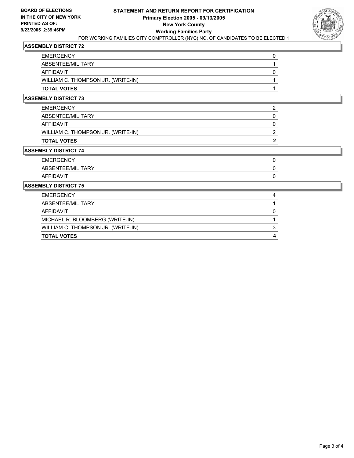

## **ASSEMBLY DISTRICT 72**

| <b>EMERGENCY</b>                   |  |
|------------------------------------|--|
| ABSENTEE/MILITARY                  |  |
| AFFIDAVIT                          |  |
| WILLIAM C. THOMPSON JR. (WRITE-IN) |  |
| <b>TOTAL VOTES</b>                 |  |

#### **ASSEMBLY DISTRICT 73**

| EMERGENCY                          |  |
|------------------------------------|--|
| ABSENTEE/MILITARY                  |  |
| AFFIDAVIT                          |  |
| WILLIAM C. THOMPSON JR. (WRITE-IN) |  |
| TOTAL VOTES                        |  |

## **ASSEMBLY DISTRICT 74**

| <b>EMERGENCY</b>  |  |
|-------------------|--|
| ABSENTEE/MILITARY |  |
| AFFIDAVIT         |  |

#### **ASSEMBLY DISTRICT 75**